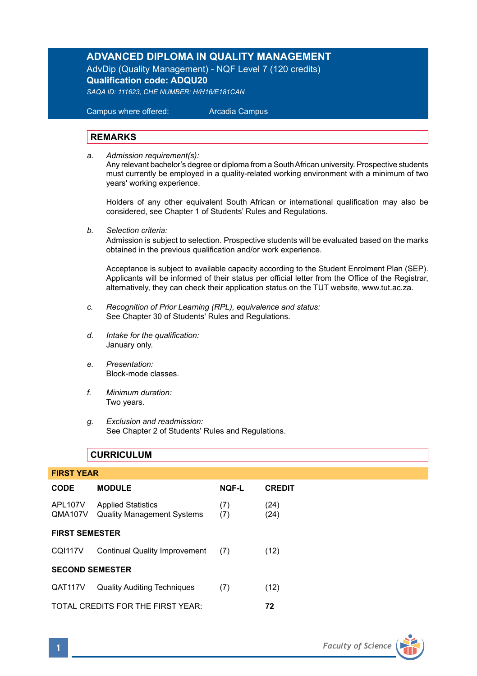# **ADVANCED DIPLOMA IN QUALITY MANAGEMENT**

AdvDip (Quality Management) - NQF Level 7 (120 credits) **Qualification code: ADQU20**

*SAQA ID: 111623, CHE NUMBER: H/H16/E181CAN* 

 Campus where offered: Arcadia Campus

### **REMARKS**

*a. Admission requirement(s):* 

Any relevant bachelor's degree or diploma from a South African university. Prospective students must currently be employed in a quality-related working environment with a minimum of two years' working experience.

Holders of any other equivalent South African or international qualification may also be considered, see Chapter 1 of Students' Rules and Regulations.

*b. Selection criteria:*

Admission is subject to selection. Prospective students will be evaluated based on the marks obtained in the previous qualification and/or work experience.

Acceptance is subject to available capacity according to the Student Enrolment Plan (SEP). Applicants will be informed of their status per official letter from the Office of the Registrar, alternatively, they can check their application status on the TUT website, www.tut.ac.za.

- *c. Recognition of Prior Learning (RPL), equivalence and status:* See Chapter 30 of Students' Rules and Regulations.
- *d. Intake for the qualification:* January only.
- *e. Presentation:* Block-mode classes.
- *f. Minimum duration:* Two years.
- *g. Exclusion and readmission:* See Chapter 2 of Students' Rules and Regulations.

# **CURRICULUM**

| <b>FIRST YEAR</b>                       |                                                                |              |               |  |  |
|-----------------------------------------|----------------------------------------------------------------|--------------|---------------|--|--|
| <b>CODE</b>                             | <b>MODULE</b>                                                  | <b>NQF-L</b> | <b>CREDIT</b> |  |  |
| APL107V<br>QMA107V                      | <b>Applied Statistics</b><br><b>Quality Management Systems</b> | (7)<br>(7)   | (24)<br>(24)  |  |  |
| <b>FIRST SEMESTER</b>                   |                                                                |              |               |  |  |
| <b>CQI117V</b>                          | <b>Continual Quality Improvement</b>                           | (7)          | (12)          |  |  |
| <b>SECOND SEMESTER</b>                  |                                                                |              |               |  |  |
| QAT117V                                 | <b>Quality Auditing Techniques</b>                             | (7)          | (12)          |  |  |
| TOTAL CREDITS FOR THE FIRST YEAR:<br>72 |                                                                |              |               |  |  |

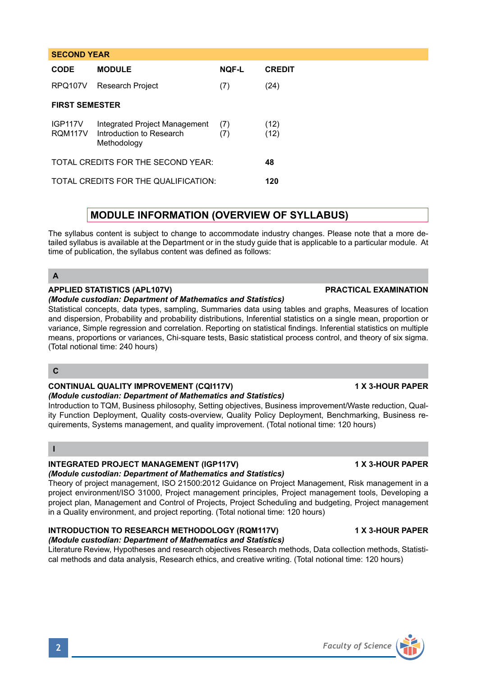| <b>CODE</b>                              | <b>MODULE</b>                                                            | <b>NQF-L</b> | <b>CREDIT</b> |  |  |
|------------------------------------------|--------------------------------------------------------------------------|--------------|---------------|--|--|
| RPQ107V                                  | Research Project                                                         | (7)          | (24)          |  |  |
| <b>FIRST SEMESTER</b>                    |                                                                          |              |               |  |  |
| <b>IGP117V</b><br>RQM117V                | Integrated Project Management<br>Introduction to Research<br>Methodology | (7)<br>(7)   | (12)<br>(12)  |  |  |
| TOTAL CREDITS FOR THE SECOND YEAR:<br>48 |                                                                          |              |               |  |  |
|                                          | TOTAL CREDITS FOR THE QUALIFICATION:                                     | 120          |               |  |  |

# **MODULE INFORMATION (OVERVIEW OF SYLLABUS)**

The syllabus content is subject to change to accommodate industry changes. Please note that a more detailed syllabus is available at the Department or in the study guide that is applicable to a particular module. At time of publication, the syllabus content was defined as follows:

## **A**

**SECOND YEAR** 

# **APPLIED STATISTICS (APL107V) PRACTICAL EXAMINATION**

## *(Module custodian: Department of Mathematics and Statistics)*

Statistical concepts, data types, sampling, Summaries data using tables and graphs, Measures of location and dispersion, Probability and probability distributions, Inferential statistics on a single mean, proportion or variance, Simple regression and correlation. Reporting on statistical findings. Inferential statistics on multiple means, proportions or variances, Chi-square tests, Basic statistical process control, and theory of six sigma. (Total notional time: 240 hours)

# **C**

#### **CONTINUAL QUALITY IMPROVEMENT (CQI117V) 1 X 3-HOUR PAPER** *(Module custodian: Department of Mathematics and Statistics)*

Introduction to TQM, Business philosophy, Setting objectives, Business improvement/Waste reduction, Quality Function Deployment, Quality costs-overview, Quality Policy Deployment, Benchmarking, Business requirements, Systems management, and quality improvement. (Total notional time: 120 hours)

## **I**

# **INTEGRATED PROJECT MANAGEMENT (IGP117V) 1 X 3-HOUR PAPER**

#### *(Module custodian: Department of Mathematics and Statistics)*  Theory of project management, ISO 21500:2012 Guidance on Project Management, Risk management in a project environment/ISO 31000, Project management principles, Project management tools, Developing a project plan, Management and Control of Projects, Project Scheduling and budgeting, Project management in a Quality environment, and project reporting. (Total notional time: 120 hours)

# **INTRODUCTION TO RESEARCH METHODOLOGY (RQM117V) 1 X 3-HOUR PAPER**

## *(Module custodian: Department of Mathematics and Statistics)*

Literature Review, Hypotheses and research objectives Research methods, Data collection methods, Statistical methods and data analysis, Research ethics, and creative writing. (Total notional time: 120 hours)